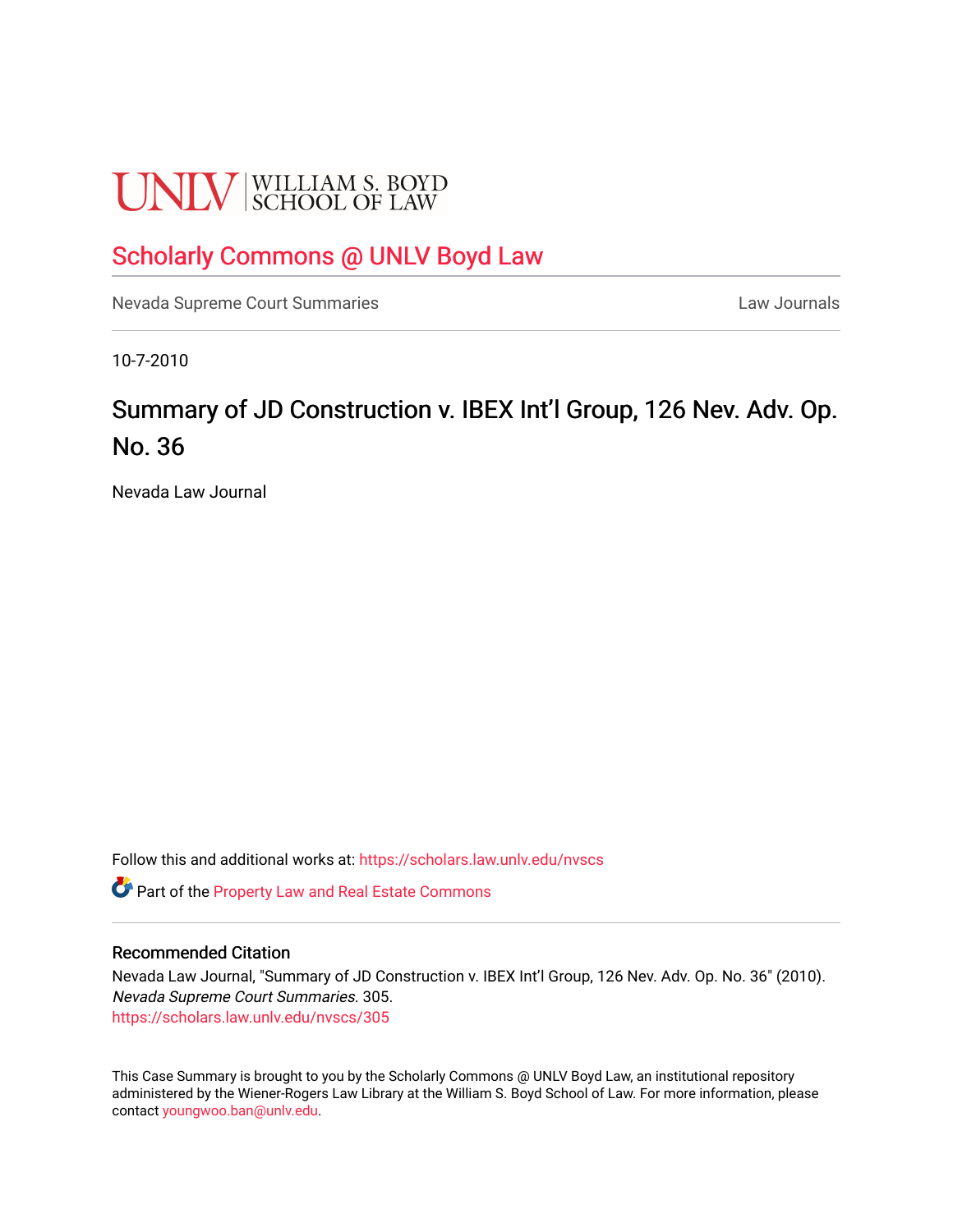# **UNLV** SCHOOL OF LAW

### [Scholarly Commons @ UNLV Boyd Law](https://scholars.law.unlv.edu/)

[Nevada Supreme Court Summaries](https://scholars.law.unlv.edu/nvscs) **Law Journals** Law Journals

10-7-2010

## Summary of JD Construction v. IBEX Int'l Group, 126 Nev. Adv. Op. No. 36

Nevada Law Journal

Follow this and additional works at: [https://scholars.law.unlv.edu/nvscs](https://scholars.law.unlv.edu/nvscs?utm_source=scholars.law.unlv.edu%2Fnvscs%2F305&utm_medium=PDF&utm_campaign=PDFCoverPages)

Part of the [Property Law and Real Estate Commons](http://network.bepress.com/hgg/discipline/897?utm_source=scholars.law.unlv.edu%2Fnvscs%2F305&utm_medium=PDF&utm_campaign=PDFCoverPages) 

#### Recommended Citation

Nevada Law Journal, "Summary of JD Construction v. IBEX Int'l Group, 126 Nev. Adv. Op. No. 36" (2010). Nevada Supreme Court Summaries. 305. [https://scholars.law.unlv.edu/nvscs/305](https://scholars.law.unlv.edu/nvscs/305?utm_source=scholars.law.unlv.edu%2Fnvscs%2F305&utm_medium=PDF&utm_campaign=PDFCoverPages)

This Case Summary is brought to you by the Scholarly Commons @ UNLV Boyd Law, an institutional repository administered by the Wiener-Rogers Law Library at the William S. Boyd School of Law. For more information, please contact [youngwoo.ban@unlv.edu](mailto:youngwoo.ban@unlv.edu).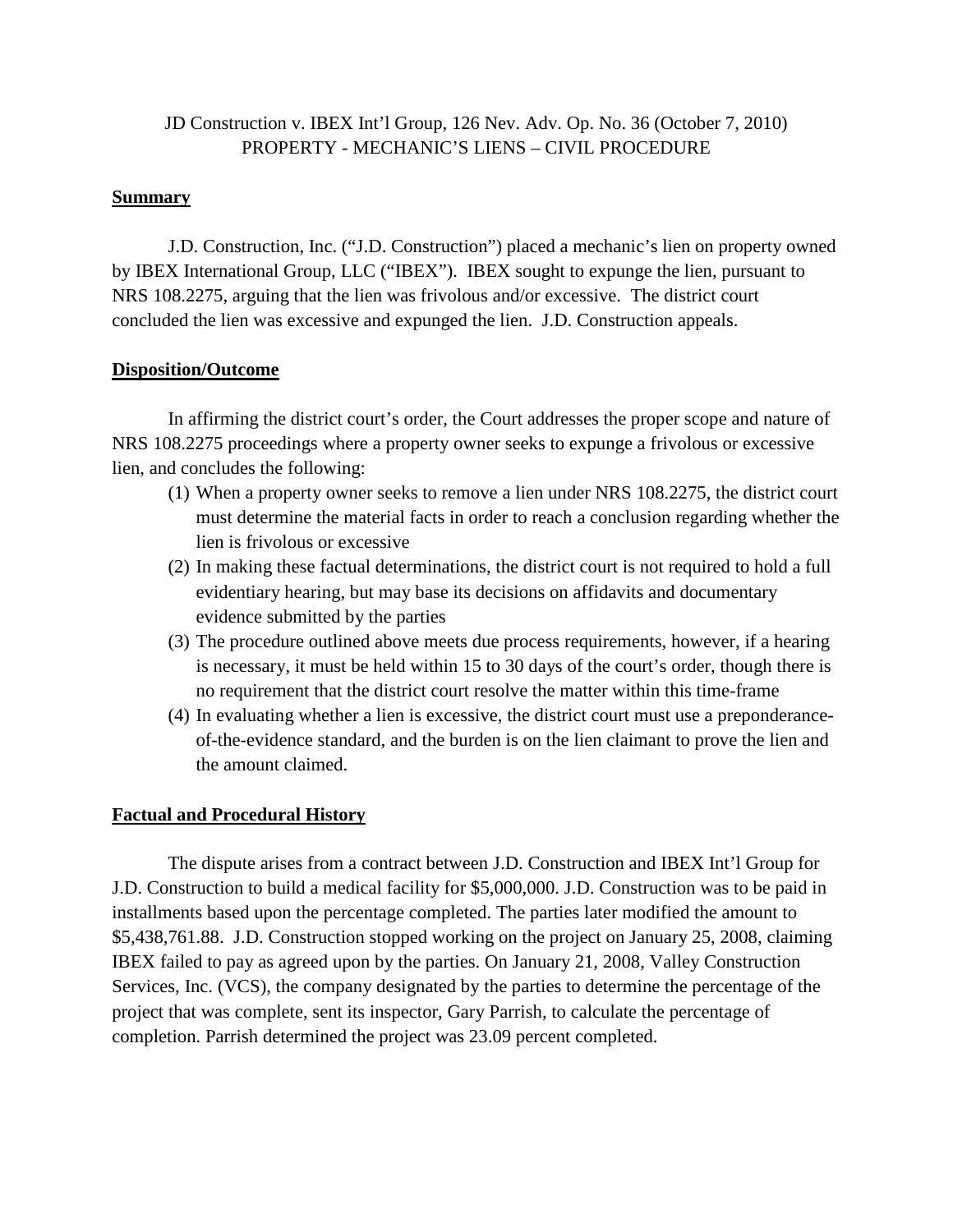#### JD Construction v. IBEX Int'l Group, 126 Nev. Adv. Op. No. 36 (October 7, 2010) PROPERTY - MECHANIC'S LIENS – CIVIL PROCEDURE

#### **Summary**

J.D. Construction, Inc. ("J.D. Construction") placed a mechanic's lien on property owned by IBEX International Group, LLC ("IBEX"). IBEX sought to expunge the lien, pursuant to NRS 108.2275, arguing that the lien was frivolous and/or excessive. The district court concluded the lien was excessive and expunged the lien. J.D. Construction appeals.

#### **Disposition/Outcome**

In affirming the district court's order, the Court addresses the proper scope and nature of NRS 108.2275 proceedings where a property owner seeks to expunge a frivolous or excessive lien, and concludes the following:

- (1) When a property owner seeks to remove a lien under NRS 108.2275, the district court must determine the material facts in order to reach a conclusion regarding whether the lien is frivolous or excessive
- (2) In making these factual determinations, the district court is not required to hold a full evidentiary hearing, but may base its decisions on affidavits and documentary evidence submitted by the parties
- (3) The procedure outlined above meets due process requirements, however, if a hearing is necessary, it must be held within 15 to 30 days of the court's order, though there is no requirement that the district court resolve the matter within this time-frame
- (4) In evaluating whether a lien is excessive, the district court must use a preponderanceof-the-evidence standard, and the burden is on the lien claimant to prove the lien and the amount claimed.

#### **Factual and Procedural History**

The dispute arises from a contract between J.D. Construction and IBEX Int'l Group for J.D. Construction to build a medical facility for \$5,000,000. J.D. Construction was to be paid in installments based upon the percentage completed. The parties later modified the amount to \$5,438,761.88. J.D. Construction stopped working on the project on January 25, 2008, claiming IBEX failed to pay as agreed upon by the parties. On January 21, 2008, Valley Construction Services, Inc. (VCS), the company designated by the parties to determine the percentage of the project that was complete, sent its inspector, Gary Parrish, to calculate the percentage of completion. Parrish determined the project was 23.09 percent completed.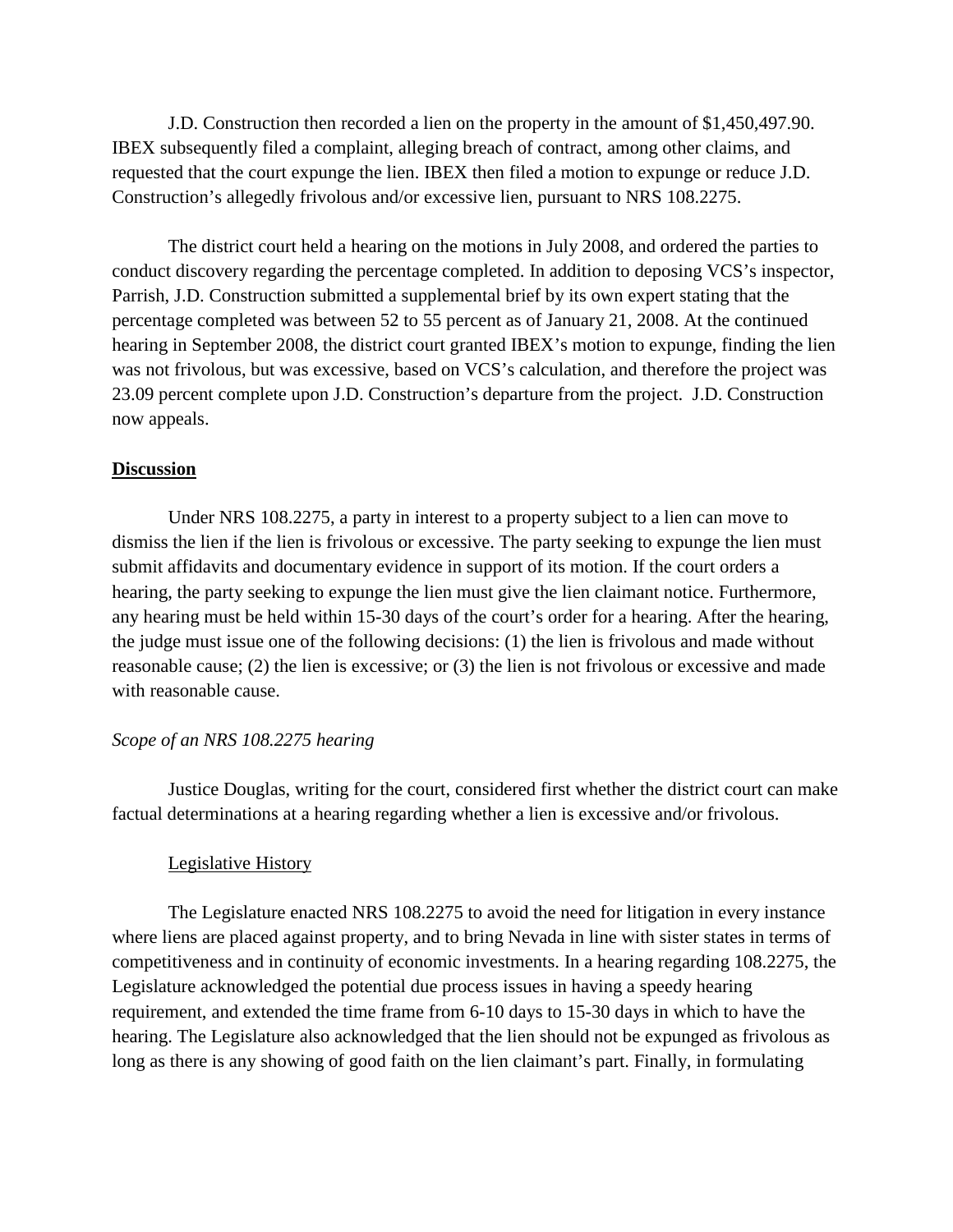J.D. Construction then recorded a lien on the property in the amount of \$1,450,497.90. IBEX subsequently filed a complaint, alleging breach of contract, among other claims, and requested that the court expunge the lien. IBEX then filed a motion to expunge or reduce J.D. Construction's allegedly frivolous and/or excessive lien, pursuant to NRS 108.2275.

The district court held a hearing on the motions in July 2008, and ordered the parties to conduct discovery regarding the percentage completed. In addition to deposing VCS's inspector, Parrish, J.D. Construction submitted a supplemental brief by its own expert stating that the percentage completed was between 52 to 55 percent as of January 21, 2008. At the continued hearing in September 2008, the district court granted IBEX's motion to expunge, finding the lien was not frivolous, but was excessive, based on VCS's calculation, and therefore the project was 23.09 percent complete upon J.D. Construction's departure from the project. J.D. Construction now appeals.

#### **Discussion**

Under NRS 108.2275, a party in interest to a property subject to a lien can move to dismiss the lien if the lien is frivolous or excessive. The party seeking to expunge the lien must submit affidavits and documentary evidence in support of its motion. If the court orders a hearing, the party seeking to expunge the lien must give the lien claimant notice. Furthermore, any hearing must be held within 15-30 days of the court's order for a hearing. After the hearing, the judge must issue one of the following decisions: (1) the lien is frivolous and made without reasonable cause; (2) the lien is excessive; or (3) the lien is not frivolous or excessive and made with reasonable cause.

#### *Scope of an NRS 108.2275 hearing*

Justice Douglas, writing for the court, considered first whether the district court can make factual determinations at a hearing regarding whether a lien is excessive and/or frivolous.

#### Legislative History

The Legislature enacted NRS 108.2275 to avoid the need for litigation in every instance where liens are placed against property, and to bring Nevada in line with sister states in terms of competitiveness and in continuity of economic investments. In a hearing regarding 108.2275, the Legislature acknowledged the potential due process issues in having a speedy hearing requirement, and extended the time frame from 6-10 days to 15-30 days in which to have the hearing. The Legislature also acknowledged that the lien should not be expunged as frivolous as long as there is any showing of good faith on the lien claimant's part. Finally, in formulating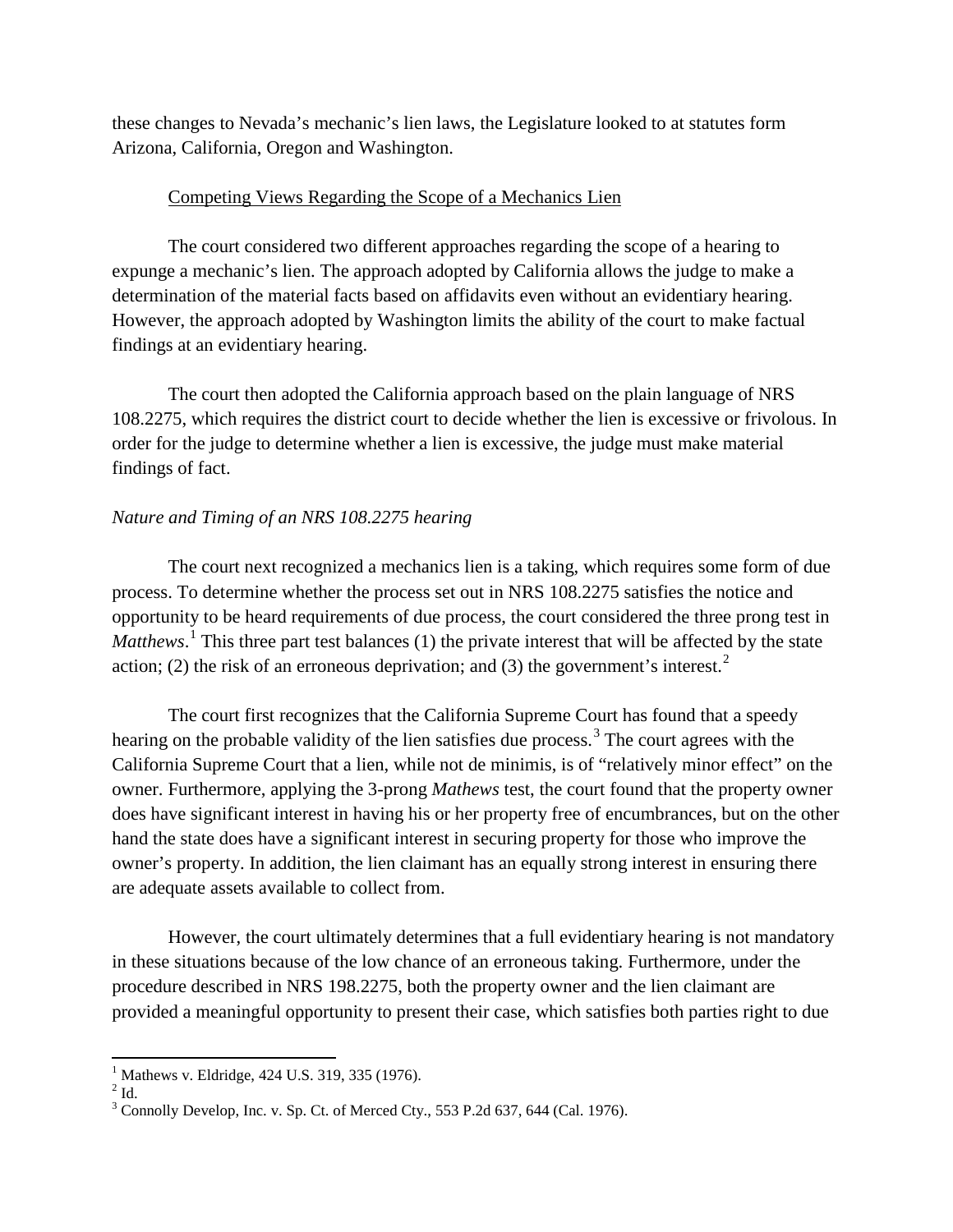these changes to Nevada's mechanic's lien laws, the Legislature looked to at statutes form Arizona, California, Oregon and Washington.

#### Competing Views Regarding the Scope of a Mechanics Lien

The court considered two different approaches regarding the scope of a hearing to expunge a mechanic's lien. The approach adopted by California allows the judge to make a determination of the material facts based on affidavits even without an evidentiary hearing. However, the approach adopted by Washington limits the ability of the court to make factual findings at an evidentiary hearing.

The court then adopted the California approach based on the plain language of NRS 108.2275, which requires the district court to decide whether the lien is excessive or frivolous. In order for the judge to determine whether a lien is excessive, the judge must make material findings of fact.

#### *Nature and Timing of an NRS 108.2275 hearing*

The court next recognized a mechanics lien is a taking, which requires some form of due process. To determine whether the process set out in NRS 108.2275 satisfies the notice and opportunity to be heard requirements of due process, the court considered the three prong test in Matthews.<sup>[1](#page-3-0)</sup> This three part test balances (1) the private interest that will be affected by the state action; ([2](#page-3-1)) the risk of an erroneous deprivation; and (3) the government's interest. $2$ 

The court first recognizes that the California Supreme Court has found that a speedy hearing on the probable validity of the lien satisfies due process.<sup>[3](#page-3-2)</sup> The court agrees with the California Supreme Court that a lien, while not de minimis, is of "relatively minor effect" on the owner. Furthermore, applying the 3-prong *Mathews* test, the court found that the property owner does have significant interest in having his or her property free of encumbrances, but on the other hand the state does have a significant interest in securing property for those who improve the owner's property. In addition, the lien claimant has an equally strong interest in ensuring there are adequate assets available to collect from.

However, the court ultimately determines that a full evidentiary hearing is not mandatory in these situations because of the low chance of an erroneous taking. Furthermore, under the procedure described in NRS 198.2275, both the property owner and the lien claimant are provided a meaningful opportunity to present their case, which satisfies both parties right to due

<span id="page-3-1"></span><span id="page-3-0"></span> $^{1}$  Mathews v. Eldridge, 424 U.S. 319, 335 (1976).<br> $^{2}$  Id.

<span id="page-3-2"></span><sup>&</sup>lt;sup>3</sup> Connolly Develop, Inc. v. Sp. Ct. of Merced Cty., 553 P.2d 637, 644 (Cal. 1976).